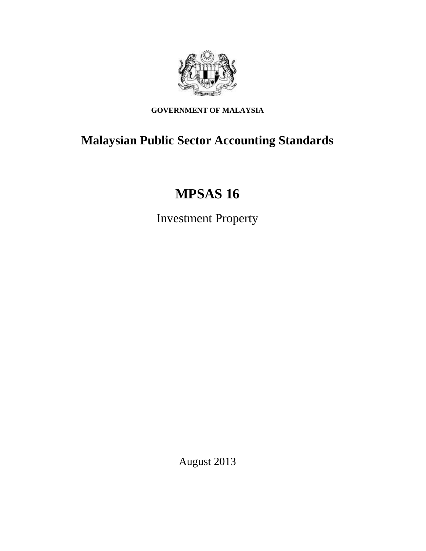

## **GOVERNMENT OF MALAYSIA**

# **Malaysian Public Sector Accounting Standards**

# **MPSAS 16**

Investment Property

August 2013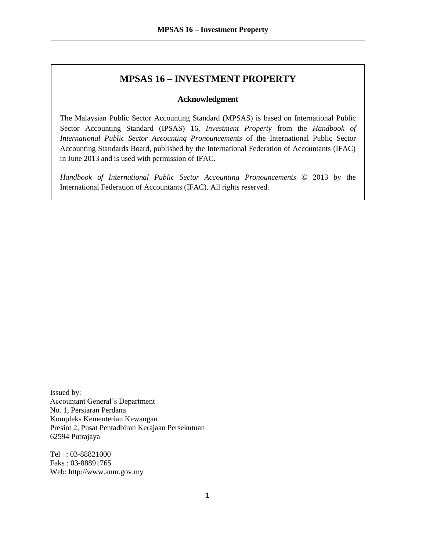## **MPSAS 16 – INVESTMENT PROPERTY**

#### **Acknowledgment**

The Malaysian Public Sector Accounting Standard (MPSAS) is based on International Public Sector Accounting Standard (IPSAS) 16, *Investment Property* from the *Handbook of International Public Sector Accounting Pronouncements* of the International Public Sector Accounting Standards Board, published by the International Federation of Accountants (IFAC) in June 2013 and is used with permission of IFAC.

*Handbook of International Public Sector Accounting Pronouncements* © 2013 by the International Federation of Accountants (IFAC). All rights reserved.

Issued by: Accountant General's Department No. 1, Persiaran Perdana Kompleks Kementerian Kewangan Presint 2, Pusat Pentadbiran Kerajaan Persekutuan 62594 Putrajaya

Tel : 03-88821000 Faks : 03-88891765 Web: http://www.anm.gov.my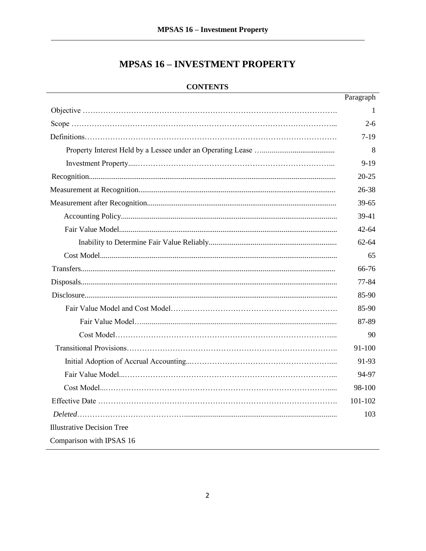# **MPSAS 16 - INVESTMENT PROPERTY**

## **CONTENTS**

|                                   | Paragraph |
|-----------------------------------|-----------|
|                                   | 1         |
|                                   | $2 - 6$   |
|                                   | 7-19      |
|                                   | 8         |
|                                   | 9-19      |
|                                   | 20-25     |
|                                   | 26-38     |
|                                   | 39-65     |
|                                   | 39-41     |
|                                   | $42 - 64$ |
|                                   | 62-64     |
|                                   | 65        |
|                                   | 66-76     |
|                                   | 77-84     |
|                                   | 85-90     |
|                                   | 85-90     |
|                                   | 87-89     |
|                                   | 90        |
|                                   | 91-100    |
|                                   | 91-93     |
|                                   | 94-97     |
|                                   | 98-100    |
|                                   | 101-102   |
|                                   | 103       |
| <b>Illustrative Decision Tree</b> |           |
| Comparison with IPSAS 16          |           |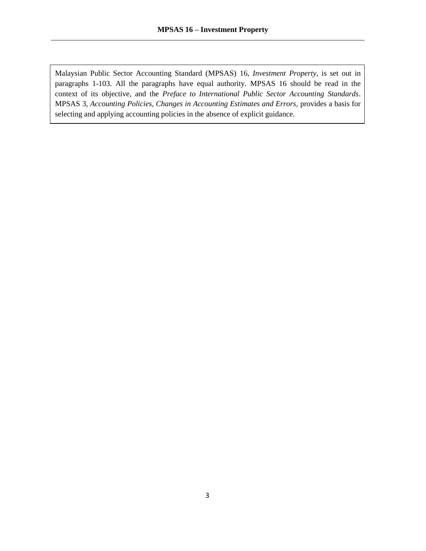Malaysian Public Sector Accounting Standard (MPSAS) 16, *Investment Property*, is set out in paragraphs 1-103. All the paragraphs have equal authority. MPSAS 16 should be read in the context of its objective, and the *Preface to International Public Sector Accounting Standards*. MPSAS 3, *Accounting Policies, Changes in Accounting Estimates and Errors,* provides a basis for selecting and applying accounting policies in the absence of explicit guidance.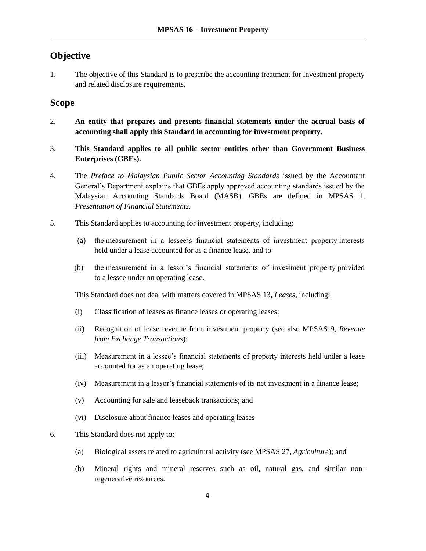## **Objective**

1. The objective of this Standard is to prescribe the accounting treatment for investment property and related disclosure requirements.

## **Scope**

- 2. **An entity that prepares and presents financial statements under the accrual basis of accounting shall apply this Standard in accounting for investment property.**
- 3. **This Standard applies to all public sector entities other than Government Business Enterprises (GBEs).**
- 4. The *Preface to Malaysian Public Sector Accounting Standards* issued by the Accountant General's Department explains that GBEs apply approved accounting standards issued by the Malaysian Accounting Standards Board (MASB). GBEs are defined in MPSAS 1, *Presentation of Financial Statements.*
- 5. This Standard applies to accounting for investment property, including:
	- (a) the measurement in a lessee's financial statements of investment property interests held under a lease accounted for as a finance lease, and to
	- (b) the measurement in a lessor's financial statements of investment property provided to a lessee under an operating lease.

This Standard does not deal with matters covered in MPSAS 13, *Leases*, including:

- (i) Classification of leases as finance leases or operating leases;
- (ii) Recognition of lease revenue from investment property (see also MPSAS 9, *Revenue from Exchange Transactions*);
- (iii) Measurement in a lessee's financial statements of property interests held under a lease accounted for as an operating lease;
- (iv) Measurement in a lessor's financial statements of its net investment in a finance lease;
- (v) Accounting for sale and leaseback transactions; and
- (vi) Disclosure about finance leases and operating leases

#### 6. This Standard does not apply to:

- (a) Biological assets related to agricultural activity (see MPSAS 27, *Agriculture*); and
- (b) Mineral rights and mineral reserves such as oil, natural gas, and similar nonregenerative resources.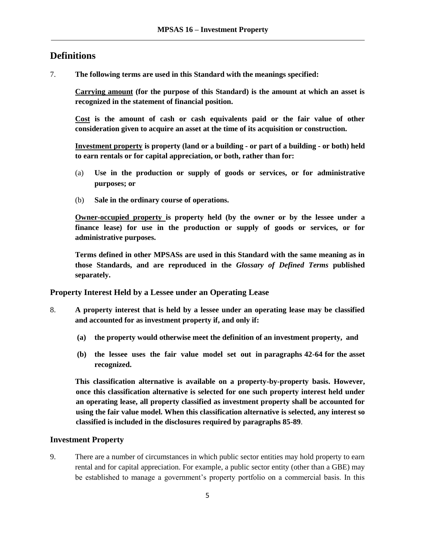## **Definitions**

7. **The following terms are used in this Standard with the meanings specified:**

**Carrying amount (for the purpose of this Standard) is the amount at which an asset is recognized in the statement of financial position.** 

**Cost is the amount of cash or cash equivalents paid or the fair value of other consideration given to acquire an asset at the time of its acquisition or construction.** 

**Investment property is property (land or a building - or part of a building - or both) held to earn rentals or for capital appreciation, or both, rather than for:** 

- (a) **Use in the production or supply of goods or services, or for administrative purposes; or**
- (b) **Sale in the ordinary course of operations.**

**Owner-occupied property is property held (by the owner or by the lessee under a finance lease) for use in the production or supply of goods or services, or for administrative purposes.** 

**Terms defined in other MPSASs are used in this Standard with the same meaning as in those Standards, and are reproduced in the** *Glossary of Defined Terms* **published separately.** 

**Property Interest Held by a Lessee under an Operating Lease** 

- 8. **A property interest that is held by a lessee under an operating lease may be classified and accounted for as investment property if, and only if:**
	- **(a) the property would otherwise meet the definition of an investment property, and**
	- **(b) the lessee uses the fair value model set out in paragraphs 42-64 for the asset recognized.**

**This classification alternative is available on a property-by-property basis. However, once this classification alternative is selected for one such property interest held under an operating lease, all property classified as investment property shall be accounted for using the fair value model. When this classification alternative is selected, any interest so classified is included in the disclosures required by paragraphs 85-89**.

#### **Investment Property**

9. There are a number of circumstances in which public sector entities may hold property to earn rental and for capital appreciation. For example, a public sector entity (other than a GBE) may be established to manage a government's property portfolio on a commercial basis. In this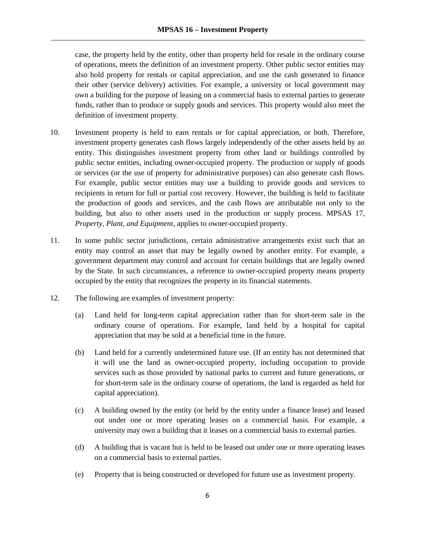case, the property held by the entity, other than property held for resale in the ordinary course of operations, meets the definition of an investment property. Other public sector entities may also hold property for rentals or capital appreciation, and use the cash generated to finance their other (service delivery) activities. For example, a university or local government may own a building for the purpose of leasing on a commercial basis to external parties to generate funds, rather than to produce or supply goods and services. This property would also meet the definition of investment property.

- 10. Investment property is held to earn rentals or for capital appreciation, or both. Therefore, investment property generates cash flows largely independently of the other assets held by an entity. This distinguishes investment property from other land or buildings controlled by public sector entities, including owner-occupied property. The production or supply of goods or services (or the use of property for administrative purposes) can also generate cash flows. For example, public sector entities may use a building to provide goods and services to recipients in return for full or partial cost recovery. However, the building is held to facilitate the production of goods and services, and the cash flows are attributable not only to the building, but also to other assets used in the production or supply process. MPSAS 17, *Property, Plant, and Equipment,* applies to owner-occupied property.
- 11. In some public sector jurisdictions, certain administrative arrangements exist such that an entity may control an asset that may be legally owned by another entity. For example, a government department may control and account for certain buildings that are legally owned by the State. In such circumstances, a reference to owner-occupied property means property occupied by the entity that recognizes the property in its financial statements.
- 12. The following are examples of investment property:
	- (a) Land held for long-term capital appreciation rather than for short-term sale in the ordinary course of operations. For example, land held by a hospital for capital appreciation that may be sold at a beneficial time in the future.
	- (b) Land held for a currently undetermined future use. (If an entity has not determined that it will use the land as owner-occupied property, including occupation to provide services such as those provided by national parks to current and future generations, or for short-term sale in the ordinary course of operations, the land is regarded as held for capital appreciation).
	- (c) A building owned by the entity (or held by the entity under a finance lease) and leased out under one or more operating leases on a commercial basis. For example, a university may own a building that it leases on a commercial basis to external parties.
	- (d) A building that is vacant but is held to be leased out under one or more operating leases on a commercial basis to external parties.
	- (e) Property that is being constructed or developed for future use as investment property.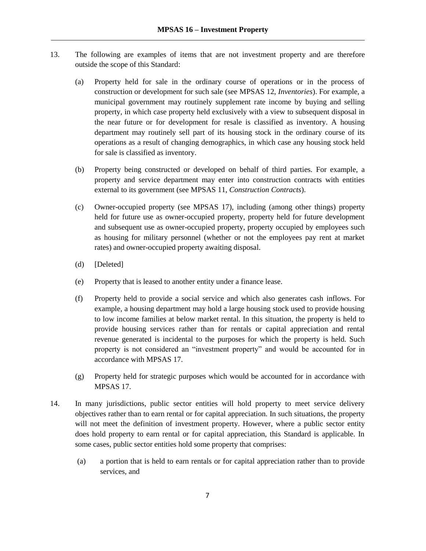- 13. The following are examples of items that are not investment property and are therefore outside the scope of this Standard:
	- (a) Property held for sale in the ordinary course of operations or in the process of construction or development for such sale (see MPSAS 12, *Inventories*). For example, a municipal government may routinely supplement rate income by buying and selling property, in which case property held exclusively with a view to subsequent disposal in the near future or for development for resale is classified as inventory. A housing department may routinely sell part of its housing stock in the ordinary course of its operations as a result of changing demographics, in which case any housing stock held for sale is classified as inventory.
	- (b) Property being constructed or developed on behalf of third parties. For example, a property and service department may enter into construction contracts with entities external to its government (see MPSAS 11, *Construction Contracts*).
	- (c) Owner-occupied property (see MPSAS 17), including (among other things) property held for future use as owner-occupied property, property held for future development and subsequent use as owner-occupied property, property occupied by employees such as housing for military personnel (whether or not the employees pay rent at market rates) and owner-occupied property awaiting disposal.
	- (d) [Deleted]
	- (e) Property that is leased to another entity under a finance lease.
	- (f) Property held to provide a social service and which also generates cash inflows. For example, a housing department may hold a large housing stock used to provide housing to low income families at below market rental. In this situation, the property is held to provide housing services rather than for rentals or capital appreciation and rental revenue generated is incidental to the purposes for which the property is held. Such property is not considered an "investment property" and would be accounted for in accordance with MPSAS 17.
	- (g) Property held for strategic purposes which would be accounted for in accordance with MPSAS 17.
- 14. In many jurisdictions, public sector entities will hold property to meet service delivery objectives rather than to earn rental or for capital appreciation. In such situations, the property will not meet the definition of investment property. However, where a public sector entity does hold property to earn rental or for capital appreciation, this Standard is applicable. In some cases, public sector entities hold some property that comprises:
	- (a) a portion that is held to earn rentals or for capital appreciation rather than to provide services, and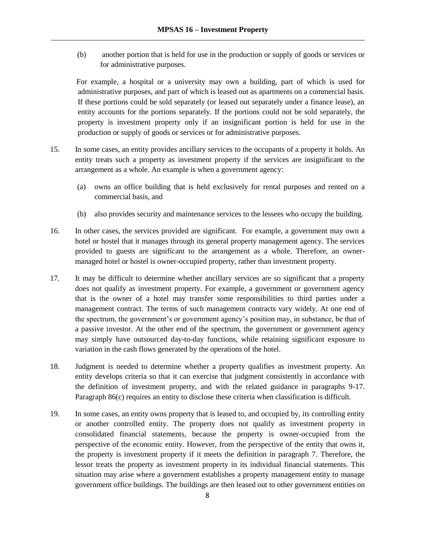(b) another portion that is held for use in the production or supply of goods or services or for administrative purposes.

For example, a hospital or a university may own a building, part of which is used for administrative purposes, and part of which is leased out as apartments on a commercial basis. If these portions could be sold separately (or leased out separately under a finance lease), an entity accounts for the portions separately. If the portions could not be sold separately, the property is investment property only if an insignificant portion is held for use in the production or supply of goods or services or for administrative purposes.

- 15. In some cases, an entity provides ancillary services to the occupants of a property it holds. An entity treats such a property as investment property if the services are insignificant to the arrangement as a whole. An example is when a government agency:
	- (a) owns an office building that is held exclusively for rental purposes and rented on a commercial basis, and
	- (b) also provides security and maintenance services to the lessees who occupy the building.
- 16. In other cases, the services provided are significant. For example, a government may own a hotel or hostel that it manages through its general property management agency. The services provided to guests are significant to the arrangement as a whole. Therefore, an ownermanaged hotel or hostel is owner-occupied property, rather than investment property.
- 17. It may be difficult to determine whether ancillary services are so significant that a property does not qualify as investment property. For example, a government or government agency that is the owner of a hotel may transfer some responsibilities to third parties under a management contract. The terms of such management contracts vary widely. At one end of the spectrum, the government's or government agency's position may, in substance, be that of a passive investor. At the other end of the spectrum, the government or government agency may simply have outsourced day-to-day functions, while retaining significant exposure to variation in the cash flows generated by the operations of the hotel.
- 18. Judgment is needed to determine whether a property qualifies as investment property. An entity develops criteria so that it can exercise that judgment consistently in accordance with the definition of investment property, and with the related guidance in paragraphs 9-17. Paragraph 86(c) requires an entity to disclose these criteria when classification is difficult.
- 19. In some cases, an entity owns property that is leased to, and occupied by, its controlling entity or another controlled entity. The property does not qualify as investment property in consolidated financial statements, because the property is owner-occupied from the perspective of the economic entity. However, from the perspective of the entity that owns it, the property is investment property if it meets the definition in paragraph 7. Therefore, the lessor treats the property as investment property in its individual financial statements. This situation may arise where a government establishes a property management entity to manage government office buildings. The buildings are then leased out to other government entities on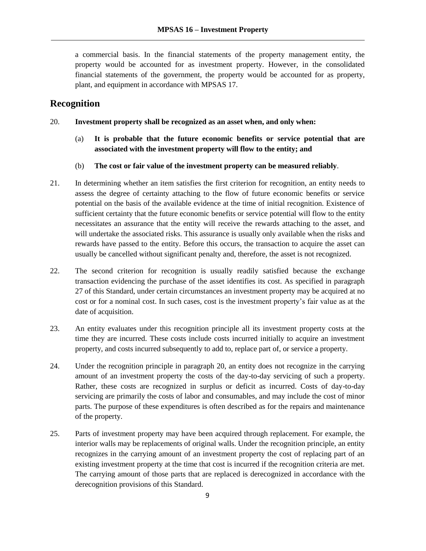a commercial basis. In the financial statements of the property management entity, the property would be accounted for as investment property. However, in the consolidated financial statements of the government, the property would be accounted for as property, plant, and equipment in accordance with MPSAS 17.

## **Recognition**

- 20. **Investment property shall be recognized as an asset when, and only when:**
	- (a) **It is probable that the future economic benefits or service potential that are associated with the investment property will flow to the entity; and**
	- (b) **The cost or fair value of the investment property can be measured reliably**.
- 21. In determining whether an item satisfies the first criterion for recognition, an entity needs to assess the degree of certainty attaching to the flow of future economic benefits or service potential on the basis of the available evidence at the time of initial recognition. Existence of sufficient certainty that the future economic benefits or service potential will flow to the entity necessitates an assurance that the entity will receive the rewards attaching to the asset, and will undertake the associated risks. This assurance is usually only available when the risks and rewards have passed to the entity. Before this occurs, the transaction to acquire the asset can usually be cancelled without significant penalty and, therefore, the asset is not recognized.
- 22. The second criterion for recognition is usually readily satisfied because the exchange transaction evidencing the purchase of the asset identifies its cost. As specified in paragraph 27 of this Standard, under certain circumstances an investment property may be acquired at no cost or for a nominal cost. In such cases, cost is the investment property's fair value as at the date of acquisition.
- 23. An entity evaluates under this recognition principle all its investment property costs at the time they are incurred. These costs include costs incurred initially to acquire an investment property, and costs incurred subsequently to add to, replace part of, or service a property.
- 24. Under the recognition principle in paragraph 20, an entity does not recognize in the carrying amount of an investment property the costs of the day-to-day servicing of such a property. Rather, these costs are recognized in surplus or deficit as incurred. Costs of day-to-day servicing are primarily the costs of labor and consumables, and may include the cost of minor parts. The purpose of these expenditures is often described as for the repairs and maintenance of the property.
- 25. Parts of investment property may have been acquired through replacement. For example, the interior walls may be replacements of original walls. Under the recognition principle, an entity recognizes in the carrying amount of an investment property the cost of replacing part of an existing investment property at the time that cost is incurred if the recognition criteria are met. The carrying amount of those parts that are replaced is derecognized in accordance with the derecognition provisions of this Standard.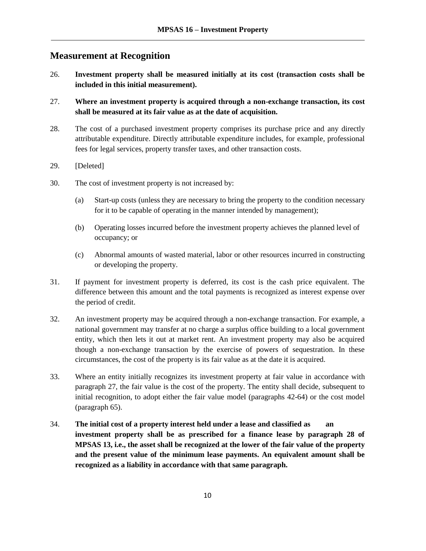## **Measurement at Recognition**

- 26. **Investment property shall be measured initially at its cost (transaction costs shall be included in this initial measurement).**
- 27. **Where an investment property is acquired through a non-exchange transaction, its cost shall be measured at its fair value as at the date of acquisition.**
- 28. The cost of a purchased investment property comprises its purchase price and any directly attributable expenditure. Directly attributable expenditure includes, for example, professional fees for legal services, property transfer taxes, and other transaction costs.
- 29. [Deleted]
- 30. The cost of investment property is not increased by:
	- (a) Start-up costs (unless they are necessary to bring the property to the condition necessary for it to be capable of operating in the manner intended by management);
	- (b) Operating losses incurred before the investment property achieves the planned level of occupancy; or
	- (c) Abnormal amounts of wasted material, labor or other resources incurred in constructing or developing the property.
- 31. If payment for investment property is deferred, its cost is the cash price equivalent. The difference between this amount and the total payments is recognized as interest expense over the period of credit.
- 32. An investment property may be acquired through a non-exchange transaction. For example, a national government may transfer at no charge a surplus office building to a local government entity, which then lets it out at market rent. An investment property may also be acquired though a non-exchange transaction by the exercise of powers of sequestration. In these circumstances, the cost of the property is its fair value as at the date it is acquired.
- 33. Where an entity initially recognizes its investment property at fair value in accordance with paragraph 27, the fair value is the cost of the property. The entity shall decide, subsequent to initial recognition, to adopt either the fair value model (paragraphs 42-64) or the cost model (paragraph 65).
- 34. **The initial cost of a property interest held under a lease and classified as an investment property shall be as prescribed for a finance lease by paragraph 28 of MPSAS 13, i.e., the asset shall be recognized at the lower of the fair value of the property and the present value of the minimum lease payments. An equivalent amount shall be recognized as a liability in accordance with that same paragraph.**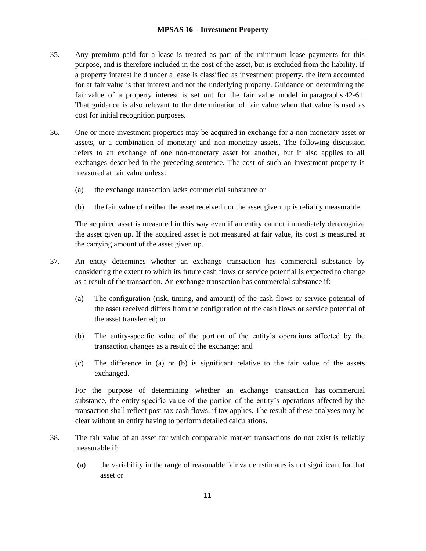- 35. Any premium paid for a lease is treated as part of the minimum lease payments for this purpose, and is therefore included in the cost of the asset, but is excluded from the liability. If a property interest held under a lease is classified as investment property, the item accounted for at fair value is that interest and not the underlying property. Guidance on determining the fair value of a property interest is set out for the fair value model in paragraphs 42-61. That guidance is also relevant to the determination of fair value when that value is used as cost for initial recognition purposes.
- 36. One or more investment properties may be acquired in exchange for a non-monetary asset or assets, or a combination of monetary and non-monetary assets. The following discussion refers to an exchange of one non-monetary asset for another, but it also applies to all exchanges described in the preceding sentence. The cost of such an investment property is measured at fair value unless:
	- (a) the exchange transaction lacks commercial substance or
	- (b) the fair value of neither the asset received nor the asset given up is reliably measurable.

The acquired asset is measured in this way even if an entity cannot immediately derecognize the asset given up. If the acquired asset is not measured at fair value, its cost is measured at the carrying amount of the asset given up.

- 37. An entity determines whether an exchange transaction has commercial substance by considering the extent to which its future cash flows or service potential is expected to change as a result of the transaction. An exchange transaction has commercial substance if:
	- (a) The configuration (risk, timing, and amount) of the cash flows or service potential of the asset received differs from the configuration of the cash flows or service potential of the asset transferred; or
	- (b) The entity-specific value of the portion of the entity's operations affected by the transaction changes as a result of the exchange; and
	- (c) The difference in (a) or (b) is significant relative to the fair value of the assets exchanged.

For the purpose of determining whether an exchange transaction has commercial substance, the entity-specific value of the portion of the entity's operations affected by the transaction shall reflect post-tax cash flows, if tax applies. The result of these analyses may be clear without an entity having to perform detailed calculations.

- 38. The fair value of an asset for which comparable market transactions do not exist is reliably measurable if:
	- (a) the variability in the range of reasonable fair value estimates is not significant for that asset or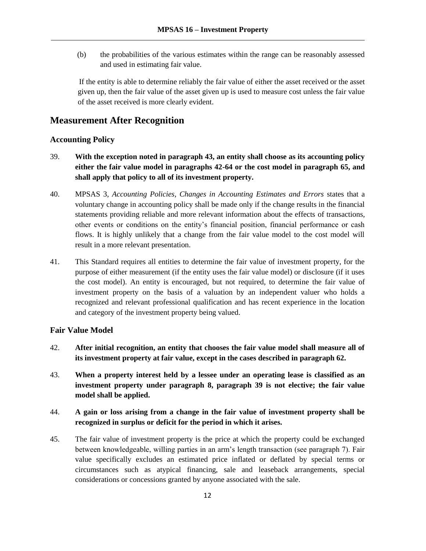(b) the probabilities of the various estimates within the range can be reasonably assessed and used in estimating fair value.

If the entity is able to determine reliably the fair value of either the asset received or the asset given up, then the fair value of the asset given up is used to measure cost unless the fair value of the asset received is more clearly evident.

## **Measurement After Recognition**

#### **Accounting Policy**

- 39. **With the exception noted in paragraph 43, an entity shall choose as its accounting policy either the fair value model in paragraphs 42-64 or the cost model in paragraph 65, and shall apply that policy to all of its investment property.**
- 40. MPSAS 3, *Accounting Policies, Changes in Accounting Estimates and Errors* states that a voluntary change in accounting policy shall be made only if the change results in the financial statements providing reliable and more relevant information about the effects of transactions, other events or conditions on the entity's financial position, financial performance or cash flows. It is highly unlikely that a change from the fair value model to the cost model will result in a more relevant presentation.
- 41. This Standard requires all entities to determine the fair value of investment property, for the purpose of either measurement (if the entity uses the fair value model) or disclosure (if it uses the cost model). An entity is encouraged, but not required, to determine the fair value of investment property on the basis of a valuation by an independent valuer who holds a recognized and relevant professional qualification and has recent experience in the location and category of the investment property being valued.

#### **Fair Value Model**

- 42. **After initial recognition, an entity that chooses the fair value model shall measure all of its investment property at fair value, except in the cases described in paragraph 62.**
- 43. **When a property interest held by a lessee under an operating lease is classified as an investment property under paragraph 8, paragraph 39 is not elective; the fair value model shall be applied.**
- 44. **A gain or loss arising from a change in the fair value of investment property shall be recognized in surplus or deficit for the period in which it arises.**
- 45. The fair value of investment property is the price at which the property could be exchanged between knowledgeable, willing parties in an arm's length transaction (see paragraph 7). Fair value specifically excludes an estimated price inflated or deflated by special terms or circumstances such as atypical financing, sale and leaseback arrangements, special considerations or concessions granted by anyone associated with the sale.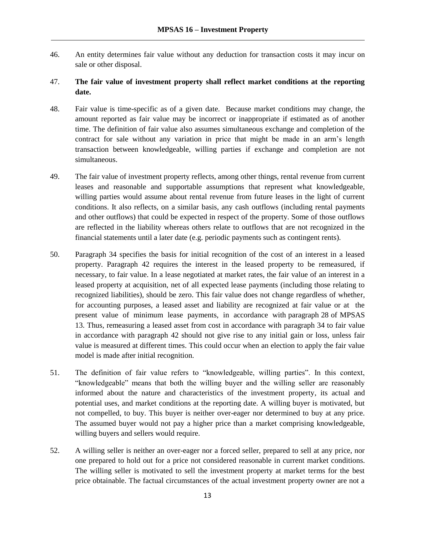- 46. An entity determines fair value without any deduction for transaction costs it may incur on sale or other disposal.
- 47. **The fair value of investment property shall reflect market conditions at the reporting date.**
- 48. Fair value is time-specific as of a given date. Because market conditions may change, the amount reported as fair value may be incorrect or inappropriate if estimated as of another time. The definition of fair value also assumes simultaneous exchange and completion of the contract for sale without any variation in price that might be made in an arm's length transaction between knowledgeable, willing parties if exchange and completion are not simultaneous.
- 49. The fair value of investment property reflects, among other things, rental revenue from current leases and reasonable and supportable assumptions that represent what knowledgeable, willing parties would assume about rental revenue from future leases in the light of current conditions. It also reflects, on a similar basis, any cash outflows (including rental payments and other outflows) that could be expected in respect of the property. Some of those outflows are reflected in the liability whereas others relate to outflows that are not recognized in the financial statements until a later date (e.g. periodic payments such as contingent rents).
- 50. Paragraph 34 specifies the basis for initial recognition of the cost of an interest in a leased property. Paragraph 42 requires the interest in the leased property to be remeasured, if necessary, to fair value. In a lease negotiated at market rates, the fair value of an interest in a leased property at acquisition, net of all expected lease payments (including those relating to recognized liabilities), should be zero. This fair value does not change regardless of whether, for accounting purposes, a leased asset and liability are recognized at fair value or at the present value of minimum lease payments, in accordance with paragraph 28 of MPSAS 13. Thus, remeasuring a leased asset from cost in accordance with paragraph 34 to fair value in accordance with paragraph 42 should not give rise to any initial gain or loss, unless fair value is measured at different times. This could occur when an election to apply the fair value model is made after initial recognition.
- 51. The definition of fair value refers to "knowledgeable, willing parties". In this context, "knowledgeable" means that both the willing buyer and the willing seller are reasonably informed about the nature and characteristics of the investment property, its actual and potential uses, and market conditions at the reporting date. A willing buyer is motivated, but not compelled, to buy. This buyer is neither over-eager nor determined to buy at any price. The assumed buyer would not pay a higher price than a market comprising knowledgeable, willing buyers and sellers would require.
- 52. A willing seller is neither an over-eager nor a forced seller, prepared to sell at any price, nor one prepared to hold out for a price not considered reasonable in current market conditions. The willing seller is motivated to sell the investment property at market terms for the best price obtainable. The factual circumstances of the actual investment property owner are not a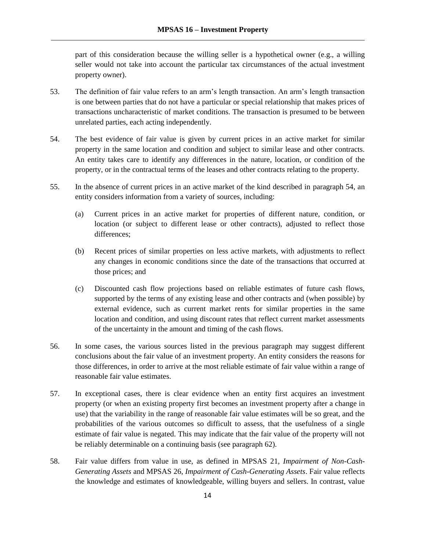part of this consideration because the willing seller is a hypothetical owner (e.g., a willing seller would not take into account the particular tax circumstances of the actual investment property owner).

- 53. The definition of fair value refers to an arm's length transaction. An arm's length transaction is one between parties that do not have a particular or special relationship that makes prices of transactions uncharacteristic of market conditions. The transaction is presumed to be between unrelated parties, each acting independently.
- 54. The best evidence of fair value is given by current prices in an active market for similar property in the same location and condition and subject to similar lease and other contracts. An entity takes care to identify any differences in the nature, location, or condition of the property, or in the contractual terms of the leases and other contracts relating to the property.
- 55. In the absence of current prices in an active market of the kind described in paragraph 54, an entity considers information from a variety of sources, including:
	- (a) Current prices in an active market for properties of different nature, condition, or location (or subject to different lease or other contracts), adjusted to reflect those differences;
	- (b) Recent prices of similar properties on less active markets, with adjustments to reflect any changes in economic conditions since the date of the transactions that occurred at those prices; and
	- (c) Discounted cash flow projections based on reliable estimates of future cash flows, supported by the terms of any existing lease and other contracts and (when possible) by external evidence, such as current market rents for similar properties in the same location and condition, and using discount rates that reflect current market assessments of the uncertainty in the amount and timing of the cash flows.
- 56. In some cases, the various sources listed in the previous paragraph may suggest different conclusions about the fair value of an investment property. An entity considers the reasons for those differences, in order to arrive at the most reliable estimate of fair value within a range of reasonable fair value estimates.
- 57. In exceptional cases, there is clear evidence when an entity first acquires an investment property (or when an existing property first becomes an investment property after a change in use) that the variability in the range of reasonable fair value estimates will be so great, and the probabilities of the various outcomes so difficult to assess, that the usefulness of a single estimate of fair value is negated. This may indicate that the fair value of the property will not be reliably determinable on a continuing basis (see paragraph 62).
- 58. Fair value differs from value in use, as defined in MPSAS 21, *Impairment of Non-Cash-Generating Assets* and MPSAS 26, *Impairment of Cash-Generating Assets*. Fair value reflects the knowledge and estimates of knowledgeable, willing buyers and sellers. In contrast, value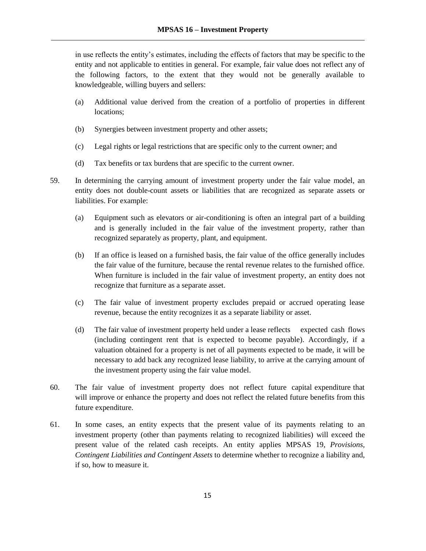in use reflects the entity's estimates, including the effects of factors that may be specific to the entity and not applicable to entities in general. For example, fair value does not reflect any of the following factors, to the extent that they would not be generally available to knowledgeable, willing buyers and sellers:

- (a) Additional value derived from the creation of a portfolio of properties in different locations;
- (b) Synergies between investment property and other assets;
- (c) Legal rights or legal restrictions that are specific only to the current owner; and
- (d) Tax benefits or tax burdens that are specific to the current owner.
- 59. In determining the carrying amount of investment property under the fair value model, an entity does not double-count assets or liabilities that are recognized as separate assets or liabilities. For example:
	- (a) Equipment such as elevators or air-conditioning is often an integral part of a building and is generally included in the fair value of the investment property, rather than recognized separately as property, plant, and equipment.
	- (b) If an office is leased on a furnished basis, the fair value of the office generally includes the fair value of the furniture, because the rental revenue relates to the furnished office. When furniture is included in the fair value of investment property, an entity does not recognize that furniture as a separate asset.
	- (c) The fair value of investment property excludes prepaid or accrued operating lease revenue, because the entity recognizes it as a separate liability or asset.
	- (d) The fair value of investment property held under a lease reflects expected cash flows (including contingent rent that is expected to become payable). Accordingly, if a valuation obtained for a property is net of all payments expected to be made, it will be necessary to add back any recognized lease liability, to arrive at the carrying amount of the investment property using the fair value model.
- 60. The fair value of investment property does not reflect future capital expenditure that will improve or enhance the property and does not reflect the related future benefits from this future expenditure.
- 61. In some cases, an entity expects that the present value of its payments relating to an investment property (other than payments relating to recognized liabilities) will exceed the present value of the related cash receipts. An entity applies MPSAS 19, *Provisions, Contingent Liabilities and Contingent Assets* to determine whether to recognize a liability and, if so, how to measure it.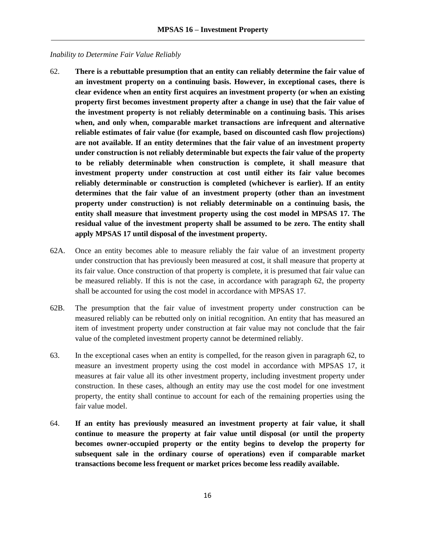#### *Inability to Determine Fair Value Reliably*

- 62. **There is a rebuttable presumption that an entity can reliably determine the fair value of an investment property on a continuing basis. However, in exceptional cases, there is clear evidence when an entity first acquires an investment property (or when an existing property first becomes investment property after a change in use) that the fair value of the investment property is not reliably determinable on a continuing basis. This arises when, and only when, comparable market transactions are infrequent and alternative reliable estimates of fair value (for example, based on discounted cash flow projections) are not available. If an entity determines that the fair value of an investment property under construction is not reliably determinable but expects the fair value of the property to be reliably determinable when construction is complete, it shall measure that investment property under construction at cost until either its fair value becomes reliably determinable or construction is completed (whichever is earlier). If an entity determines that the fair value of an investment property (other than an investment property under construction) is not reliably determinable on a continuing basis, the entity shall measure that investment property using the cost model in MPSAS 17. The residual value of the investment property shall be assumed to be zero. The entity shall apply MPSAS 17 until disposal of the investment property.**
- 62A. Once an entity becomes able to measure reliably the fair value of an investment property under construction that has previously been measured at cost, it shall measure that property at its fair value. Once construction of that property is complete, it is presumed that fair value can be measured reliably. If this is not the case, in accordance with paragraph 62, the property shall be accounted for using the cost model in accordance with MPSAS 17.
- 62B. The presumption that the fair value of investment property under construction can be measured reliably can be rebutted only on initial recognition. An entity that has measured an item of investment property under construction at fair value may not conclude that the fair value of the completed investment property cannot be determined reliably.
- 63. In the exceptional cases when an entity is compelled, for the reason given in paragraph 62, to measure an investment property using the cost model in accordance with MPSAS 17, it measures at fair value all its other investment property, including investment property under construction. In these cases, although an entity may use the cost model for one investment property, the entity shall continue to account for each of the remaining properties using the fair value model.
- 64. **If an entity has previously measured an investment property at fair value, it shall continue to measure the property at fair value until disposal (or until the property becomes owner-occupied property or the entity begins to develop the property for subsequent sale in the ordinary course of operations) even if comparable market transactions become less frequent or market prices become less readily available.**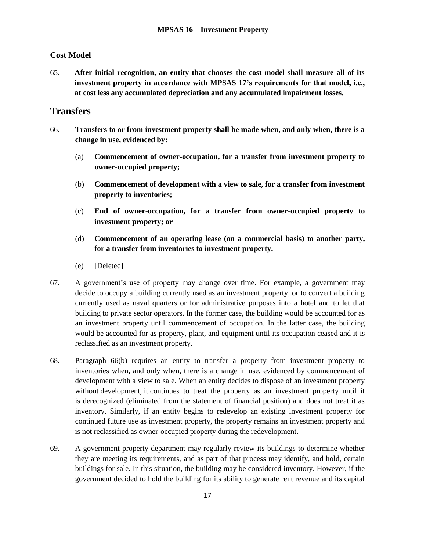#### **Cost Model**

65. **After initial recognition, an entity that chooses the cost model shall measure all of its investment property in accordance with MPSAS 17's requirements for that model, i.e., at cost less any accumulated depreciation and any accumulated impairment losses.** 

## **Transfers**

- 66. **Transfers to or from investment property shall be made when, and only when, there is a change in use, evidenced by:** 
	- (a) **Commencement of owner-occupation, for a transfer from investment property to owner-occupied property;**
	- (b) **Commencement of development with a view to sale, for a transfer from investment property to inventories;**
	- (c) **End of owner-occupation, for a transfer from owner-occupied property to investment property; or**
	- (d) **Commencement of an operating lease (on a commercial basis) to another party, for a transfer from inventories to investment property.**
	- (e) [Deleted]
- 67. A government's use of property may change over time. For example, a government may decide to occupy a building currently used as an investment property, or to convert a building currently used as naval quarters or for administrative purposes into a hotel and to let that building to private sector operators. In the former case, the building would be accounted for as an investment property until commencement of occupation. In the latter case, the building would be accounted for as property, plant, and equipment until its occupation ceased and it is reclassified as an investment property.
- 68. Paragraph 66(b) requires an entity to transfer a property from investment property to inventories when, and only when, there is a change in use, evidenced by commencement of development with a view to sale. When an entity decides to dispose of an investment property without development, it continues to treat the property as an investment property until it is derecognized (eliminated from the statement of financial position) and does not treat it as inventory. Similarly, if an entity begins to redevelop an existing investment property for continued future use as investment property, the property remains an investment property and is not reclassified as owner-occupied property during the redevelopment.
- 69. A government property department may regularly review its buildings to determine whether they are meeting its requirements, and as part of that process may identify, and hold, certain buildings for sale. In this situation, the building may be considered inventory. However, if the government decided to hold the building for its ability to generate rent revenue and its capital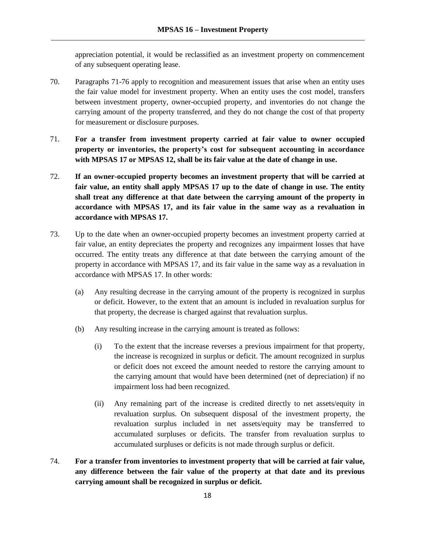appreciation potential, it would be reclassified as an investment property on commencement of any subsequent operating lease.

- 70. Paragraphs 71-76 apply to recognition and measurement issues that arise when an entity uses the fair value model for investment property. When an entity uses the cost model, transfers between investment property, owner-occupied property, and inventories do not change the carrying amount of the property transferred, and they do not change the cost of that property for measurement or disclosure purposes.
- 71. **For a transfer from investment property carried at fair value to owner occupied property or inventories, the property's cost for subsequent accounting in accordance with MPSAS 17 or MPSAS 12, shall be its fair value at the date of change in use.**
- 72. **If an owner-occupied property becomes an investment property that will be carried at fair value, an entity shall apply MPSAS 17 up to the date of change in use. The entity shall treat any difference at that date between the carrying amount of the property in accordance with MPSAS 17, and its fair value in the same way as a revaluation in accordance with MPSAS 17.**
- 73. Up to the date when an owner-occupied property becomes an investment property carried at fair value, an entity depreciates the property and recognizes any impairment losses that have occurred. The entity treats any difference at that date between the carrying amount of the property in accordance with MPSAS 17, and its fair value in the same way as a revaluation in accordance with MPSAS 17. In other words:
	- (a) Any resulting decrease in the carrying amount of the property is recognized in surplus or deficit. However, to the extent that an amount is included in revaluation surplus for that property, the decrease is charged against that revaluation surplus.
	- (b) Any resulting increase in the carrying amount is treated as follows:
		- (i) To the extent that the increase reverses a previous impairment for that property, the increase is recognized in surplus or deficit. The amount recognized in surplus or deficit does not exceed the amount needed to restore the carrying amount to the carrying amount that would have been determined (net of depreciation) if no impairment loss had been recognized.
		- (ii) Any remaining part of the increase is credited directly to net assets/equity in revaluation surplus. On subsequent disposal of the investment property, the revaluation surplus included in net assets/equity may be transferred to accumulated surpluses or deficits. The transfer from revaluation surplus to accumulated surpluses or deficits is not made through surplus or deficit.
- 74. **For a transfer from inventories to investment property that will be carried at fair value, any difference between the fair value of the property at that date and its previous carrying amount shall be recognized in surplus or deficit.**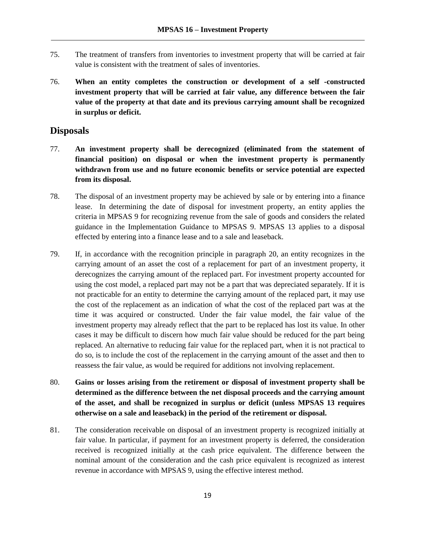- 75. The treatment of transfers from inventories to investment property that will be carried at fair value is consistent with the treatment of sales of inventories.
- 76. **When an entity completes the construction or development of a self -constructed investment property that will be carried at fair value, any difference between the fair value of the property at that date and its previous carrying amount shall be recognized in surplus or deficit.**

#### **Disposals**

- 77. **An investment property shall be derecognized (eliminated from the statement of financial position) on disposal or when the investment property is permanently withdrawn from use and no future economic benefits or service potential are expected from its disposal.**
- 78. The disposal of an investment property may be achieved by sale or by entering into a finance lease. In determining the date of disposal for investment property, an entity applies the criteria in MPSAS 9 for recognizing revenue from the sale of goods and considers the related guidance in the Implementation Guidance to MPSAS 9. MPSAS 13 applies to a disposal effected by entering into a finance lease and to a sale and leaseback.
- 79. If, in accordance with the recognition principle in paragraph 20, an entity recognizes in the carrying amount of an asset the cost of a replacement for part of an investment property, it derecognizes the carrying amount of the replaced part. For investment property accounted for using the cost model, a replaced part may not be a part that was depreciated separately. If it is not practicable for an entity to determine the carrying amount of the replaced part, it may use the cost of the replacement as an indication of what the cost of the replaced part was at the time it was acquired or constructed. Under the fair value model, the fair value of the investment property may already reflect that the part to be replaced has lost its value. In other cases it may be difficult to discern how much fair value should be reduced for the part being replaced. An alternative to reducing fair value for the replaced part, when it is not practical to do so, is to include the cost of the replacement in the carrying amount of the asset and then to reassess the fair value, as would be required for additions not involving replacement.
- 80. **Gains or losses arising from the retirement or disposal of investment property shall be determined as the difference between the net disposal proceeds and the carrying amount of the asset, and shall be recognized in surplus or deficit (unless MPSAS 13 requires otherwise on a sale and leaseback) in the period of the retirement or disposal.**
- 81. The consideration receivable on disposal of an investment property is recognized initially at fair value. In particular, if payment for an investment property is deferred, the consideration received is recognized initially at the cash price equivalent. The difference between the nominal amount of the consideration and the cash price equivalent is recognized as interest revenue in accordance with MPSAS 9, using the effective interest method.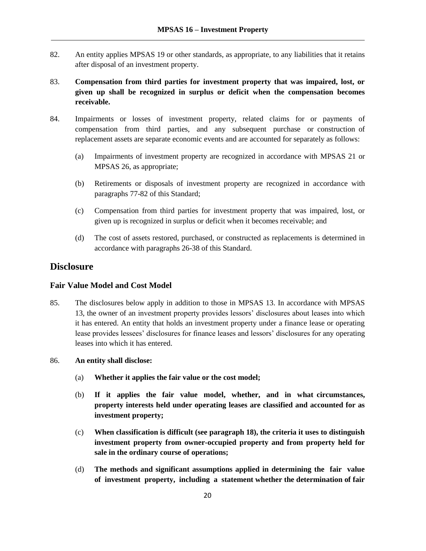- 82. An entity applies MPSAS 19 or other standards, as appropriate, to any liabilities that it retains after disposal of an investment property.
- 83. **Compensation from third parties for investment property that was impaired, lost, or given up shall be recognized in surplus or deficit when the compensation becomes receivable.**
- 84. Impairments or losses of investment property, related claims for or payments of compensation from third parties, and any subsequent purchase or construction of replacement assets are separate economic events and are accounted for separately as follows:
	- (a) Impairments of investment property are recognized in accordance with MPSAS 21 or MPSAS 26, as appropriate;
	- (b) Retirements or disposals of investment property are recognized in accordance with paragraphs 77-82 of this Standard;
	- (c) Compensation from third parties for investment property that was impaired, lost, or given up is recognized in surplus or deficit when it becomes receivable; and
	- (d) The cost of assets restored, purchased, or constructed as replacements is determined in accordance with paragraphs 26-38 of this Standard.

## **Disclosure**

#### **Fair Value Model and Cost Model**

85. The disclosures below apply in addition to those in MPSAS 13. In accordance with MPSAS 13, the owner of an investment property provides lessors' disclosures about leases into which it has entered. An entity that holds an investment property under a finance lease or operating lease provides lessees' disclosures for finance leases and lessors' disclosures for any operating leases into which it has entered.

#### 86. **An entity shall disclose:**

- (a) **Whether it applies the fair value or the cost model;**
- (b) **If it applies the fair value model, whether, and in what circumstances, property interests held under operating leases are classified and accounted for as investment property;**
- (c) **When classification is difficult (see paragraph 18), the criteria it uses to distinguish investment property from owner-occupied property and from property held for sale in the ordinary course of operations;**
- (d) **The methods and significant assumptions applied in determining the fair value of investment property, including a statement whether the determination of fair**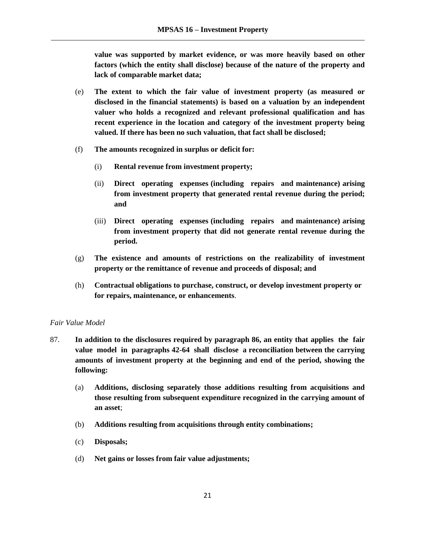**value was supported by market evidence, or was more heavily based on other factors (which the entity shall disclose) because of the nature of the property and lack of comparable market data;** 

- (e) **The extent to which the fair value of investment property (as measured or disclosed in the financial statements) is based on a valuation by an independent valuer who holds a recognized and relevant professional qualification and has recent experience in the location and category of the investment property being valued. If there has been no such valuation, that fact shall be disclosed;**
- (f) **The amounts recognized in surplus or deficit for:**
	- (i) **Rental revenue from investment property;**
	- (ii) **Direct operating expenses (including repairs and maintenance) arising from investment property that generated rental revenue during the period; and**
	- (iii) **Direct operating expenses (including repairs and maintenance) arising from investment property that did not generate rental revenue during the period.**
- (g) **The existence and amounts of restrictions on the realizability of investment property or the remittance of revenue and proceeds of disposal; and**
- (h) **Contractual obligations to purchase, construct, or develop investment property or for repairs, maintenance, or enhancements**.

#### *Fair Value Model*

- 87. **In addition to the disclosures required by paragraph 86, an entity that applies the fair value model in paragraphs 42-64 shall disclose a reconciliation between the carrying amounts of investment property at the beginning and end of the period, showing the following:** 
	- (a) **Additions, disclosing separately those additions resulting from acquisitions and those resulting from subsequent expenditure recognized in the carrying amount of an asset**;
	- (b) **Additions resulting from acquisitions through entity combinations;**
	- (c) **Disposals;**
	- (d) **Net gains or losses from fair value adjustments;**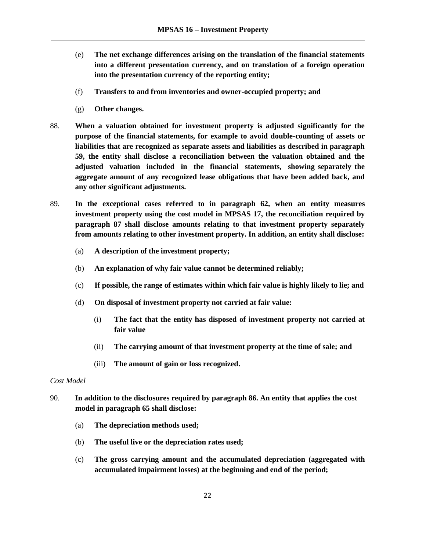- (e) **The net exchange differences arising on the translation of the financial statements into a different presentation currency, and on translation of a foreign operation into the presentation currency of the reporting entity;**
- (f) **Transfers to and from inventories and owner-occupied property; and**
- (g) **Other changes.**
- 88. **When a valuation obtained for investment property is adjusted significantly for the purpose of the financial statements, for example to avoid double-counting of assets or liabilities that are recognized as separate assets and liabilities as described in paragraph 59, the entity shall disclose a reconciliation between the valuation obtained and the adjusted valuation included in the financial statements, showing separately the aggregate amount of any recognized lease obligations that have been added back, and any other significant adjustments.**
- 89. **In the exceptional cases referred to in paragraph 62, when an entity measures investment property using the cost model in MPSAS 17, the reconciliation required by paragraph 87 shall disclose amounts relating to that investment property separately from amounts relating to other investment property. In addition, an entity shall disclose:** 
	- (a) **A description of the investment property;**
	- (b) **An explanation of why fair value cannot be determined reliably;**
	- (c) **If possible, the range of estimates within which fair value is highly likely to lie; and**
	- (d) **On disposal of investment property not carried at fair value:**
		- (i) **The fact that the entity has disposed of investment property not carried at fair value**
		- (ii) **The carrying amount of that investment property at the time of sale; and**
		- (iii) **The amount of gain or loss recognized.**

#### *Cost Model*

- 90. **In addition to the disclosures required by paragraph 86. An entity that applies the cost model in paragraph 65 shall disclose:**
	- (a) **The depreciation methods used;**
	- (b) **The useful live or the depreciation rates used;**
	- (c) **The gross carrying amount and the accumulated depreciation (aggregated with accumulated impairment losses) at the beginning and end of the period;**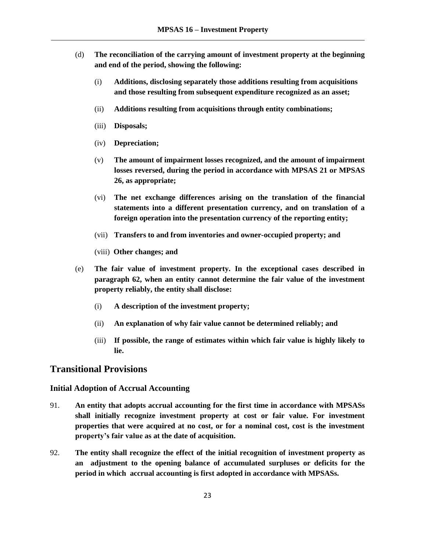- (d) **The reconciliation of the carrying amount of investment property at the beginning and end of the period, showing the following:**
	- (i) **Additions, disclosing separately those additions resulting from acquisitions and those resulting from subsequent expenditure recognized as an asset;**
	- (ii) **Additions resulting from acquisitions through entity combinations;**
	- (iii) **Disposals;**
	- (iv) **Depreciation;**
	- (v) **The amount of impairment losses recognized, and the amount of impairment losses reversed, during the period in accordance with MPSAS 21 or MPSAS 26, as appropriate;**
	- (vi) **The net exchange differences arising on the translation of the financial statements into a different presentation currency, and on translation of a foreign operation into the presentation currency of the reporting entity;**
	- (vii) **Transfers to and from inventories and owner-occupied property; and**

(viii) **Other changes; and**

- (e) **The fair value of investment property. In the exceptional cases described in paragraph 62, when an entity cannot determine the fair value of the investment property reliably, the entity shall disclose:**
	- (i) **A description of the investment property;**
	- (ii) **An explanation of why fair value cannot be determined reliably; and**
	- (iii) **If possible, the range of estimates within which fair value is highly likely to lie.**

### **Transitional Provisions**

#### **Initial Adoption of Accrual Accounting**

- 91. **An entity that adopts accrual accounting for the first time in accordance with MPSASs shall initially recognize investment property at cost or fair value. For investment properties that were acquired at no cost, or for a nominal cost, cost is the investment property's fair value as at the date of acquisition.**
- 92. **The entity shall recognize the effect of the initial recognition of investment property as an adjustment to the opening balance of accumulated surpluses or deficits for the period in which accrual accounting is first adopted in accordance with MPSASs.**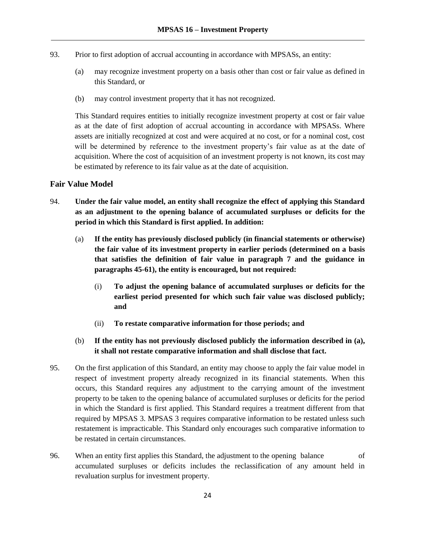- 93. Prior to first adoption of accrual accounting in accordance with MPSASs, an entity:
	- (a) may recognize investment property on a basis other than cost or fair value as defined in this Standard, or
	- (b) may control investment property that it has not recognized.

This Standard requires entities to initially recognize investment property at cost or fair value as at the date of first adoption of accrual accounting in accordance with MPSASs. Where assets are initially recognized at cost and were acquired at no cost, or for a nominal cost, cost will be determined by reference to the investment property's fair value as at the date of acquisition. Where the cost of acquisition of an investment property is not known, its cost may be estimated by reference to its fair value as at the date of acquisition.

#### **Fair Value Model**

- 94. **Under the fair value model, an entity shall recognize the effect of applying this Standard as an adjustment to the opening balance of accumulated surpluses or deficits for the period in which this Standard is first applied. In addition:**
	- (a) **If the entity has previously disclosed publicly (in financial statements or otherwise) the fair value of its investment property in earlier periods (determined on a basis that satisfies the definition of fair value in paragraph 7 and the guidance in paragraphs 45-61), the entity is encouraged, but not required:** 
		- (i) **To adjust the opening balance of accumulated surpluses or deficits for the earliest period presented for which such fair value was disclosed publicly; and**
		- (ii) **To restate comparative information for those periods; and**
	- (b) **If the entity has not previously disclosed publicly the information described in (a), it shall not restate comparative information and shall disclose that fact.**
- 95. On the first application of this Standard, an entity may choose to apply the fair value model in respect of investment property already recognized in its financial statements. When this occurs, this Standard requires any adjustment to the carrying amount of the investment property to be taken to the opening balance of accumulated surpluses or deficits for the period in which the Standard is first applied. This Standard requires a treatment different from that required by MPSAS 3. MPSAS 3 requires comparative information to be restated unless such restatement is impracticable. This Standard only encourages such comparative information to be restated in certain circumstances.
- 96. When an entity first applies this Standard, the adjustment to the opening balance of accumulated surpluses or deficits includes the reclassification of any amount held in revaluation surplus for investment property.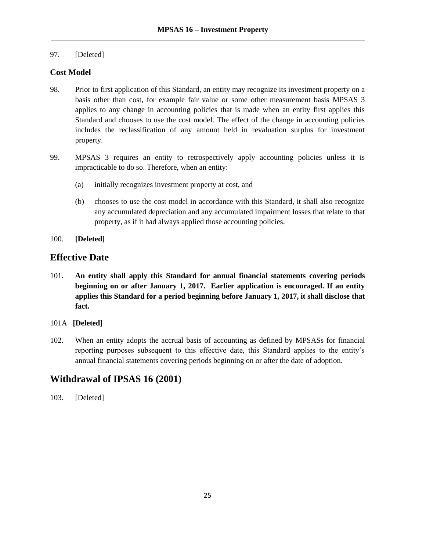#### 97. [Deleted]

#### **Cost Model**

- 98. Prior to first application of this Standard, an entity may recognize its investment property on a basis other than cost, for example fair value or some other measurement basis MPSAS 3 applies to any change in accounting policies that is made when an entity first applies this Standard and chooses to use the cost model. The effect of the change in accounting policies includes the reclassification of any amount held in revaluation surplus for investment property.
- 99. MPSAS 3 requires an entity to retrospectively apply accounting policies unless it is impracticable to do so. Therefore, when an entity:
	- (a) initially recognizes investment property at cost, and
	- (b) chooses to use the cost model in accordance with this Standard, it shall also recognize any accumulated depreciation and any accumulated impairment losses that relate to that property, as if it had always applied those accounting policies.
- 100. **[Deleted]**

### **Effective Date**

- 101. **An entity shall apply this Standard for annual financial statements covering periods beginning on or after January 1, 2017. Earlier application is encouraged. If an entity applies this Standard for a period beginning before January 1, 2017, it shall disclose that fact.**
- 101A **[Deleted]**
- 102. When an entity adopts the accrual basis of accounting as defined by MPSASs for financial reporting purposes subsequent to this effective date, this Standard applies to the entity's annual financial statements covering periods beginning on or after the date of adoption.

## **Withdrawal of IPSAS 16 (2001)**

103*.* [Deleted]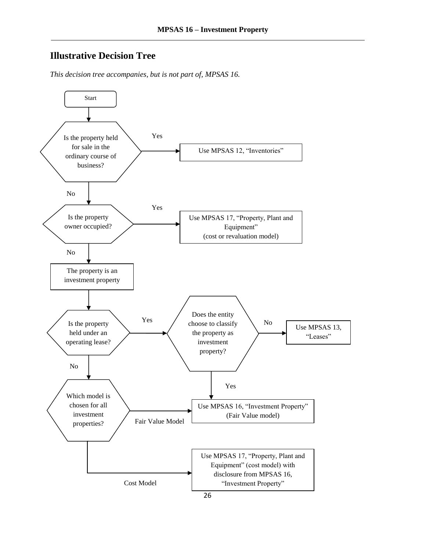# **Illustrative Decision Tree**

*This decision tree accompanies, but is not part of, MPSAS 16.*